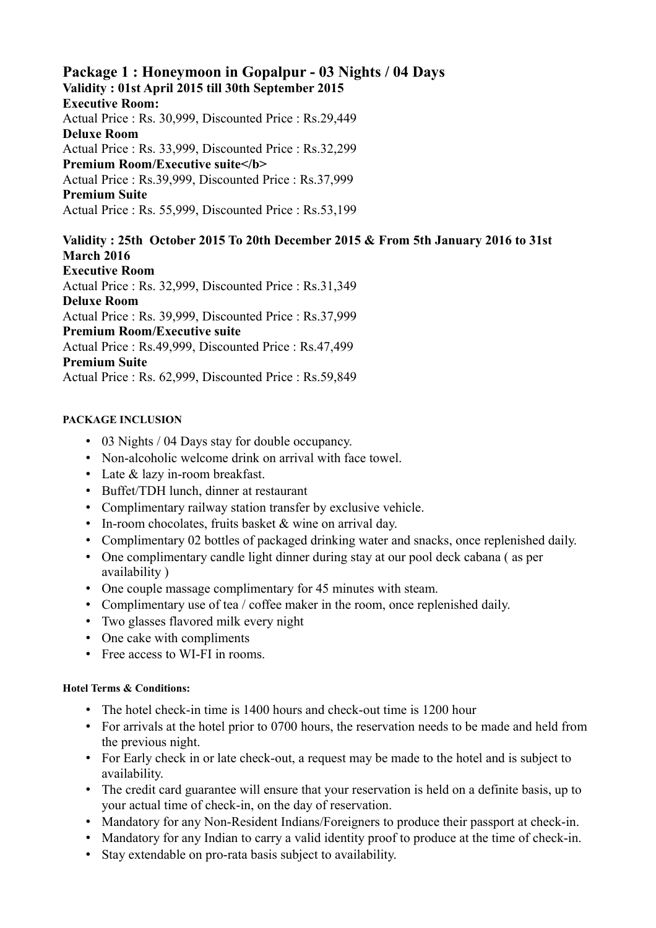# **Package 1 : Honeymoon in Gopalpur - 03 Nights / 04 Days Validity : 01st April 2015 till 30th September 2015**

**Executive Room:**

Actual Price : Rs. 30,999, Discounted Price : Rs.29,449 **Deluxe Room**

Actual Price : Rs. 33,999, Discounted Price : Rs.32,299 **Premium Room/Executive suite</b>** Actual Price : Rs.39,999, Discounted Price : Rs.37,999 **Premium Suite**

Actual Price : Rs. 55,999, Discounted Price : Rs.53,199

**Validity : 25th October 2015 To 20th December 2015 & From 5th January 2016 to 31st March 2016 Executive Room**

Actual Price : Rs. 32,999, Discounted Price : Rs.31,349 **Deluxe Room**  Actual Price : Rs. 39,999, Discounted Price : Rs.37,999 **Premium Room/Executive suite** Actual Price : Rs.49,999, Discounted Price : Rs.47,499 **Premium Suite**

Actual Price : Rs. 62,999, Discounted Price : Rs.59,849

#### **PACKAGE INCLUSION**

- 03 Nights / 04 Days stay for double occupancy.
- Non-alcoholic welcome drink on arrival with face towel.
- Late & lazy in-room breakfast.
- Buffet/TDH lunch, dinner at restaurant
- Complimentary railway station transfer by exclusive vehicle.
- In-room chocolates, fruits basket & wine on arrival day.
- Complimentary 02 bottles of packaged drinking water and snacks, once replenished daily.
- One complimentary candle light dinner during stay at our pool deck cabana ( as per availability )
- One couple massage complimentary for 45 minutes with steam.
- Complimentary use of tea / coffee maker in the room, once replenished daily.
- Two glasses flavored milk every night
- One cake with compliments
- Free access to WI-FI in rooms.

#### **Hotel Terms & Conditions:**

- The hotel check-in time is 1400 hours and check-out time is 1200 hour
- For arrivals at the hotel prior to 0700 hours, the reservation needs to be made and held from the previous night.
- For Early check in or late check-out, a request may be made to the hotel and is subject to availability.
- The credit card guarantee will ensure that your reservation is held on a definite basis, up to your actual time of check-in, on the day of reservation.
- Mandatory for any Non-Resident Indians/Foreigners to produce their passport at check-in.
- Mandatory for any Indian to carry a valid identity proof to produce at the time of check-in.
- Stay extendable on pro-rata basis subject to availability.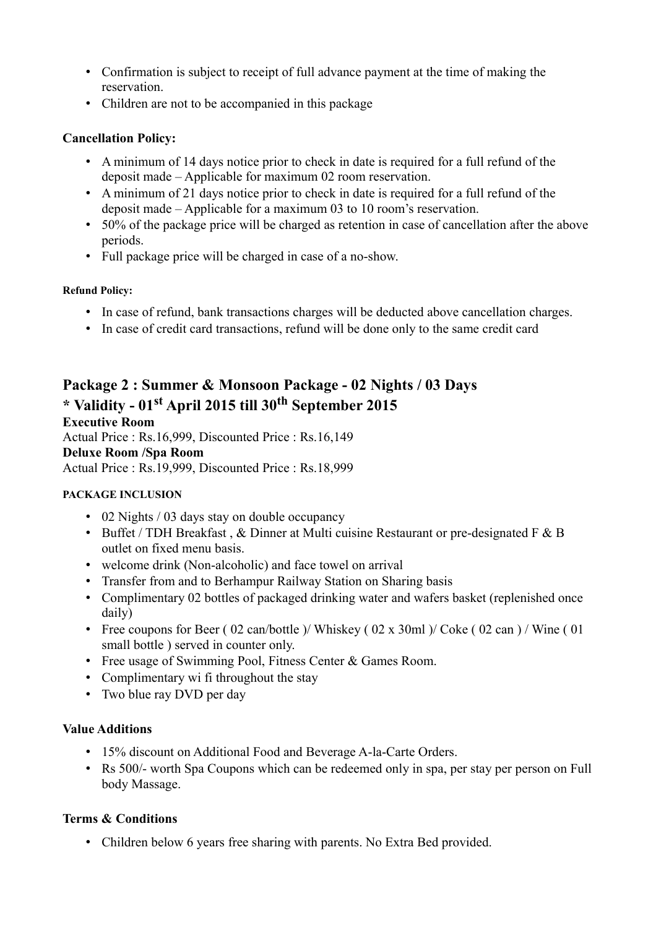- Confirmation is subject to receipt of full advance payment at the time of making the reservation.
- Children are not to be accompanied in this package

## **Cancellation Policy:**

- A minimum of 14 days notice prior to check in date is required for a full refund of the deposit made – Applicable for maximum 02 room reservation.
- A minimum of 21 days notice prior to check in date is required for a full refund of the deposit made – Applicable for a maximum 03 to 10 room's reservation.
- 50% of the package price will be charged as retention in case of cancellation after the above periods.
- Full package price will be charged in case of a no-show.

#### **Refund Policy:**

- In case of refund, bank transactions charges will be deducted above cancellation charges.
- In case of credit card transactions, refund will be done only to the same credit card

# **Package 2 : Summer & Monsoon Package - 02 Nights / 03 Days \* Validity - 01st April 2015 till 30th September 2015 Executive Room**

Actual Price : Rs.16,999, Discounted Price : Rs.16,149 **Deluxe Room /Spa Room** Actual Price : Rs.19,999, Discounted Price : Rs.18,999

## **PACKAGE INCLUSION**

- 02 Nights / 03 days stay on double occupancy
- Buffet / TDH Breakfast,  $&$  Dinner at Multi cuisine Restaurant or pre-designated F  $&$  B outlet on fixed menu basis.
- welcome drink (Non-alcoholic) and face towel on arrival
- Transfer from and to Berhampur Railway Station on Sharing basis
- Complimentary 02 bottles of packaged drinking water and wafers basket (replenished once daily)
- Free coupons for Beer (02 can/bottle )/ Whiskey (02 x 30ml )/ Coke (02 can ) / Wine (01) small bottle ) served in counter only.
- Free usage of Swimming Pool, Fitness Center & Games Room.
- Complimentary wi fi throughout the stay
- Two blue ray DVD per day

## **Value Additions**

- 15% discount on Additional Food and Beverage A-la-Carte Orders.
- Rs 500/- worth Spa Coupons which can be redeemed only in spa, per stay per person on Full body Massage.

## **Terms & Conditions**

• Children below 6 years free sharing with parents. No Extra Bed provided.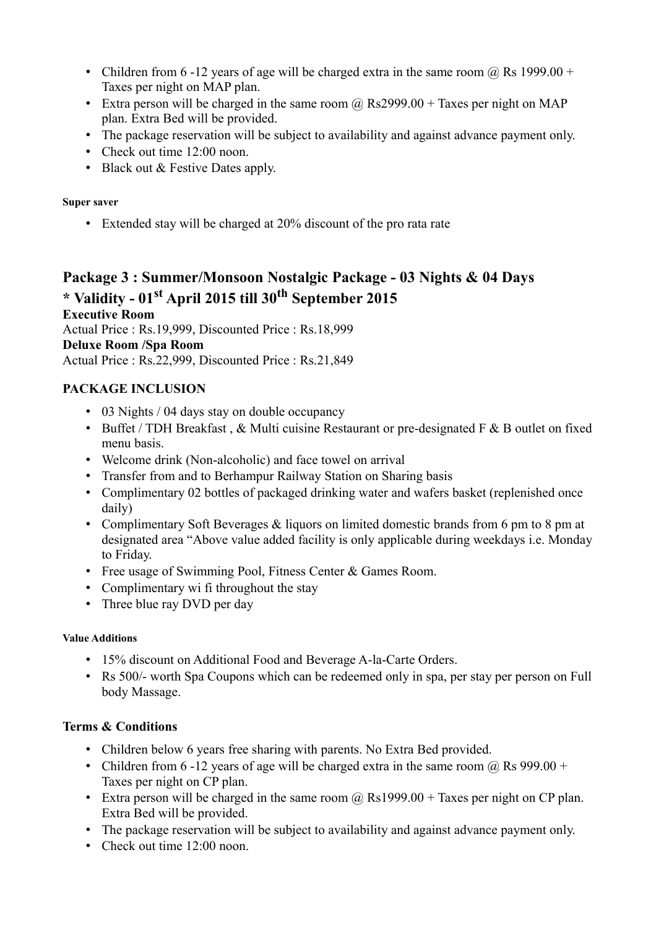- Children from 6 -12 years of age will be charged extra in the same room  $\omega$  Rs 1999.00 + Taxes per night on MAP plan.
- Extra person will be charged in the same room  $\omega$  Rs2999.00 + Taxes per night on MAP plan. Extra Bed will be provided.
- The package reservation will be subject to availability and against advance payment only.
- Check out time 12:00 noon.
- Black out & Festive Dates apply.

# **Super saver**

• Extended stay will be charged at 20% discount of the pro rata rate

# **Package 3 : Summer/Monsoon Nostalgic Package - 03 Nights & 04 Days \* Validity - 01st April 2015 till 30th September 2015**

**Executive Room** Actual Price : Rs.19,999, Discounted Price : Rs.18,999 **Deluxe Room /Spa Room** Actual Price : Rs.22,999, Discounted Price : Rs.21,849

# **PACKAGE INCLUSION**

- 03 Nights / 04 days stay on double occupancy
- Buffet / TDH Breakfast,  $&$  Multi cuisine Restaurant or pre-designated F  $&$  B outlet on fixed menu basis.
- Welcome drink (Non-alcoholic) and face towel on arrival
- Transfer from and to Berhampur Railway Station on Sharing basis
- Complimentary 02 bottles of packaged drinking water and wafers basket (replenished once daily)
- Complimentary Soft Beverages & liquors on limited domestic brands from 6 pm to 8 pm at designated area "Above value added facility is only applicable during weekdays i.e. Monday to Friday.
- Free usage of Swimming Pool, Fitness Center & Games Room.
- Complimentary wi fi throughout the stay
- Three blue ray DVD per day

## **Value Additions**

- 15% discount on Additional Food and Beverage A-la-Carte Orders.
- Rs 500/- worth Spa Coupons which can be redeemed only in spa, per stay per person on Full body Massage.

# **Terms & Conditions**

- Children below 6 years free sharing with parents. No Extra Bed provided.
- Children from 6 -12 years of age will be charged extra in the same room  $\omega$  Rs 999.00 + Taxes per night on CP plan.
- Extra person will be charged in the same room  $\omega$  Rs1999.00 + Taxes per night on CP plan. Extra Bed will be provided.
- The package reservation will be subject to availability and against advance payment only.
- Check out time 12:00 noon.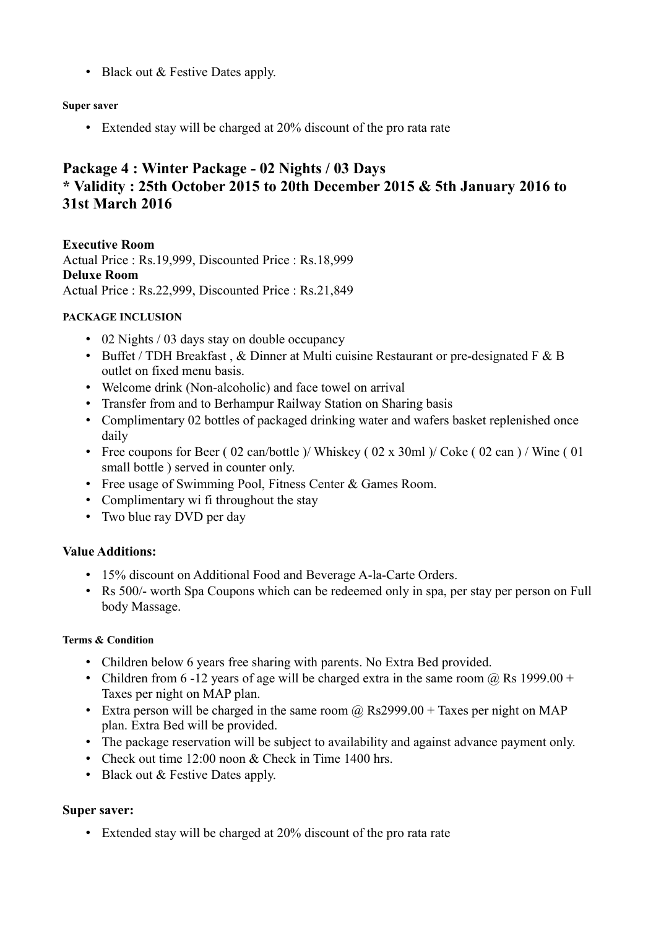• Black out & Festive Dates apply.

#### **Super saver**

• Extended stay will be charged at 20% discount of the pro rata rate

# **Package 4 : Winter Package - 02 Nights / 03 Days \* Validity : 25th October 2015 to 20th December 2015 & 5th January 2016 to 31st March 2016**

**Executive Room** Actual Price : Rs.19,999, Discounted Price : Rs.18,999 **Deluxe Room** Actual Price : Rs.22,999, Discounted Price : Rs.21,849

#### **PACKAGE INCLUSION**

- 02 Nights / 03 days stay on double occupancy
- Buffet / TDH Breakfast , & Dinner at Multi cuisine Restaurant or pre-designated F & B outlet on fixed menu basis.
- Welcome drink (Non-alcoholic) and face towel on arrival
- Transfer from and to Berhampur Railway Station on Sharing basis
- Complimentary 02 bottles of packaged drinking water and wafers basket replenished once daily
- Free coupons for Beer (02 can/bottle )/ Whiskey (02 x 30ml )/ Coke (02 can )/ Wine (01 small bottle ) served in counter only.
- Free usage of Swimming Pool, Fitness Center & Games Room.
- Complimentary wi fi throughout the stay
- Two blue ray DVD per day

## **Value Additions:**

- 15% discount on Additional Food and Beverage A-la-Carte Orders.
- Rs 500/- worth Spa Coupons which can be redeemed only in spa, per stay per person on Full body Massage.

## **Terms & Condition**

- Children below 6 years free sharing with parents. No Extra Bed provided.
- Children from 6 -12 years of age will be charged extra in the same room  $\omega$  Rs 1999.00 + Taxes per night on MAP plan.
- Extra person will be charged in the same room  $\omega$  Rs2999.00 + Taxes per night on MAP plan. Extra Bed will be provided.
- The package reservation will be subject to availability and against advance payment only.
- Check out time 12:00 noon & Check in Time 1400 hrs.
- Black out & Festive Dates apply.

## **Super saver:**

• Extended stay will be charged at 20% discount of the pro rata rate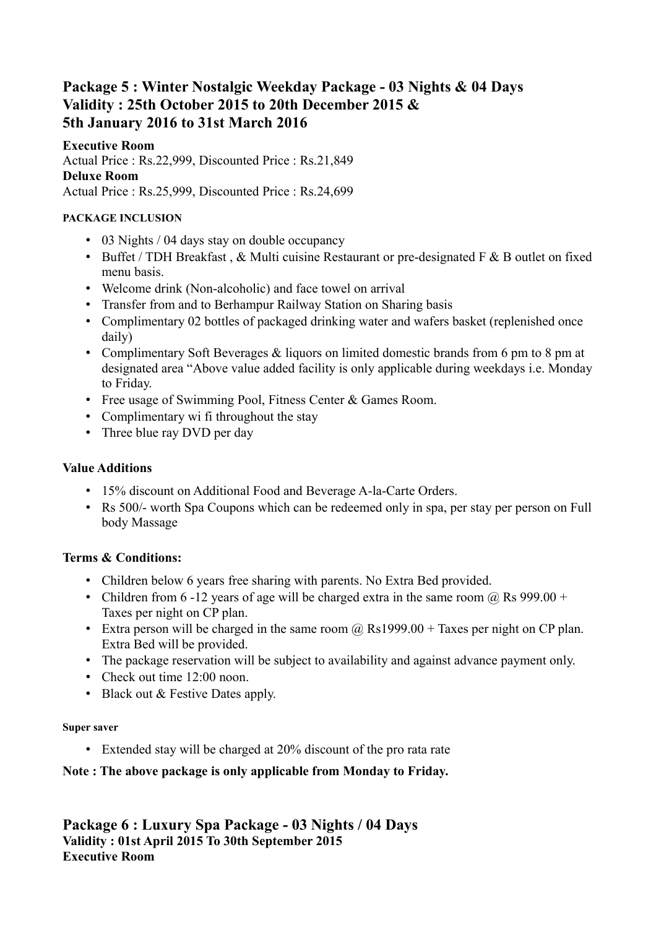# **Package 5 : Winter Nostalgic Weekday Package - 03 Nights & 04 Days Validity : 25th October 2015 to 20th December 2015 & 5th January 2016 to 31st March 2016**

# **Executive Room**

Actual Price : Rs.22,999, Discounted Price : Rs.21,849 **Deluxe Room** Actual Price : Rs.25,999, Discounted Price : Rs.24,699

# **PACKAGE INCLUSION**

- 03 Nights / 04 days stay on double occupancy
- Buffet / TDH Breakfast,  $&$  Multi cuisine Restaurant or pre-designated F  $&$  B outlet on fixed menu basis.
- Welcome drink (Non-alcoholic) and face towel on arrival
- Transfer from and to Berhampur Railway Station on Sharing basis
- Complimentary 02 bottles of packaged drinking water and wafers basket (replenished once daily)
- Complimentary Soft Beverages & liquors on limited domestic brands from 6 pm to 8 pm at designated area "Above value added facility is only applicable during weekdays i.e. Monday to Friday.
- Free usage of Swimming Pool, Fitness Center & Games Room.
- Complimentary wi fi throughout the stay
- Three blue ray DVD per day

# **Value Additions**

- 15% discount on Additional Food and Beverage A-la-Carte Orders.
- Rs 500/- worth Spa Coupons which can be redeemed only in spa, per stay per person on Full body Massage

# **Terms & Conditions:**

- Children below 6 years free sharing with parents. No Extra Bed provided.
- Children from 6 -12 years of age will be charged extra in the same room  $(a)$  Rs 999.00 + Taxes per night on CP plan.
- Extra person will be charged in the same room  $\omega$  Rs1999.00 + Taxes per night on CP plan. Extra Bed will be provided.
- The package reservation will be subject to availability and against advance payment only.
- Check out time 12:00 noon.
- Black out & Festive Dates apply.

## **Super saver**

• Extended stay will be charged at 20% discount of the pro rata rate

# **Note : The above package is only applicable from Monday to Friday.**

**Package 6 : Luxury Spa Package - 03 Nights / 04 Days Validity : 01st April 2015 To 30th September 2015 Executive Room**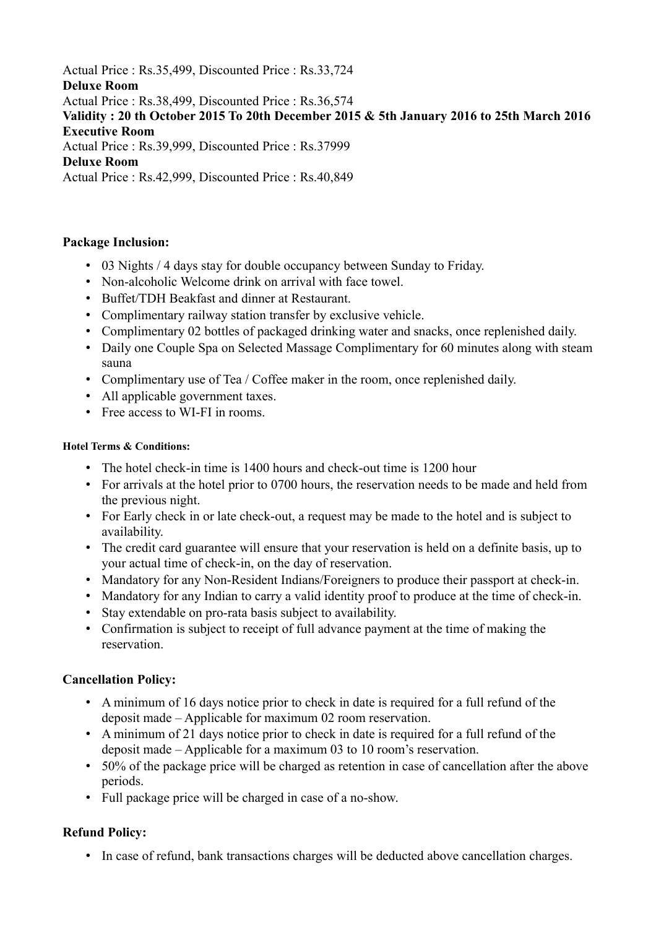Actual Price : Rs.35,499, Discounted Price : Rs.33,724 **Deluxe Room** Actual Price : Rs.38,499, Discounted Price : Rs.36,574 **Validity : 20 th October 2015 To 20th December 2015 & 5th January 2016 to 25th March 2016 Executive Room** Actual Price : Rs.39,999, Discounted Price : Rs.37999 **Deluxe Room** Actual Price : Rs.42,999, Discounted Price : Rs.40,849

# **Package Inclusion:**

- 03 Nights / 4 days stay for double occupancy between Sunday to Friday.
- Non-alcoholic Welcome drink on arrival with face towel.
- Buffet/TDH Beakfast and dinner at Restaurant.
- Complimentary railway station transfer by exclusive vehicle.
- Complimentary 02 bottles of packaged drinking water and snacks, once replenished daily.
- Daily one Couple Spa on Selected Massage Complimentary for 60 minutes along with steam sauna
- Complimentary use of Tea / Coffee maker in the room, once replenished daily.
- All applicable government taxes.
- Free access to WI-FI in rooms.

#### **Hotel Terms & Conditions:**

- The hotel check-in time is 1400 hours and check-out time is 1200 hour
- For arrivals at the hotel prior to 0700 hours, the reservation needs to be made and held from the previous night.
- For Early check in or late check-out, a request may be made to the hotel and is subject to availability.
- The credit card guarantee will ensure that your reservation is held on a definite basis, up to your actual time of check-in, on the day of reservation.
- Mandatory for any Non-Resident Indians/Foreigners to produce their passport at check-in.
- Mandatory for any Indian to carry a valid identity proof to produce at the time of check-in.
- Stay extendable on pro-rata basis subject to availability.
- Confirmation is subject to receipt of full advance payment at the time of making the reservation.

## **Cancellation Policy:**

- A minimum of 16 days notice prior to check in date is required for a full refund of the deposit made – Applicable for maximum 02 room reservation.
- A minimum of 21 days notice prior to check in date is required for a full refund of the deposit made – Applicable for a maximum 03 to 10 room's reservation.
- 50% of the package price will be charged as retention in case of cancellation after the above periods.
- Full package price will be charged in case of a no-show.

# **Refund Policy:**

• In case of refund, bank transactions charges will be deducted above cancellation charges.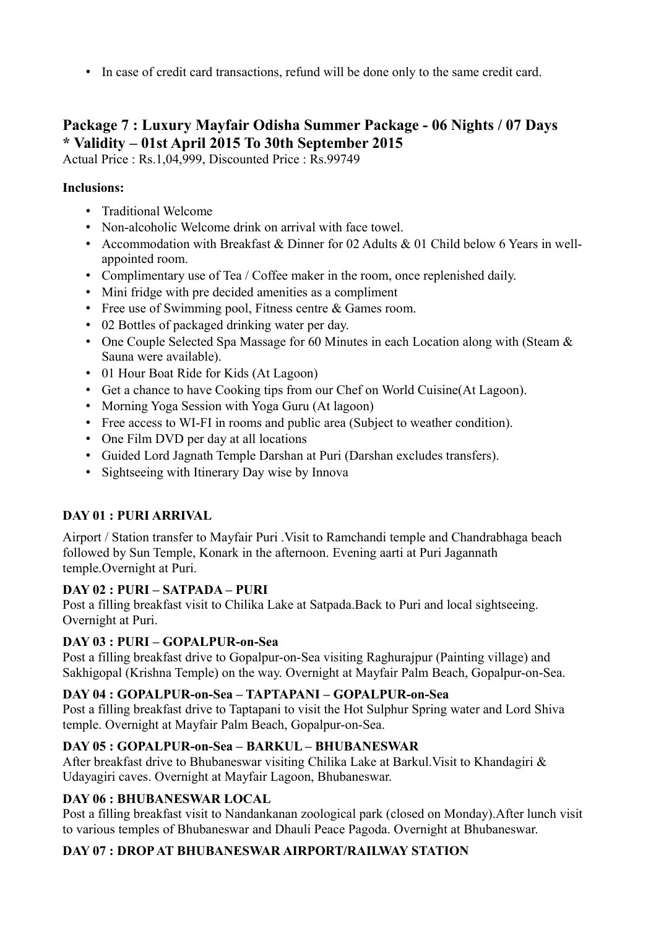• In case of credit card transactions, refund will be done only to the same credit card.

# **Package 7 : Luxury Mayfair Odisha Summer Package - 06 Nights / 07 Days \* Validity – 01st April 2015 To 30th September 2015**

Actual Price : Rs.1,04,999, Discounted Price : Rs.99749

# **Inclusions:**

- Traditional Welcome
- Non-alcoholic Welcome drink on arrival with face towel.
- Accommodation with Breakfast & Dinner for 02 Adults & 01 Child below 6 Years in wellappointed room.
- Complimentary use of Tea / Coffee maker in the room, once replenished daily.
- Mini fridge with pre decided amenities as a compliment
- Free use of Swimming pool, Fitness centre & Games room.
- 02 Bottles of packaged drinking water per day.
- One Couple Selected Spa Massage for 60 Minutes in each Location along with (Steam & Sauna were available).
- 01 Hour Boat Ride for Kids (At Lagoon)
- Get a chance to have Cooking tips from our Chef on World Cuisine(At Lagoon).
- Morning Yoga Session with Yoga Guru (At lagoon)
- Free access to WI-FI in rooms and public area (Subject to weather condition).
- One Film DVD per day at all locations
- Guided Lord Jagnath Temple Darshan at Puri (Darshan excludes transfers).
- Sightseeing with Itinerary Day wise by Innova

# **DAY 01 : PURI ARRIVAL**

Airport / Station transfer to Mayfair Puri .Visit to Ramchandi temple and Chandrabhaga beach followed by Sun Temple, Konark in the afternoon. Evening aarti at Puri Jagannath temple.Overnight at Puri.

# **DAY 02 : PURI – SATPADA – PURI**

Post a filling breakfast visit to Chilika Lake at Satpada.Back to Puri and local sightseeing. Overnight at Puri.

# **DAY 03 : PURI – GOPALPUR-on-Sea**

Post a filling breakfast drive to Gopalpur-on-Sea visiting Raghurajpur (Painting village) and Sakhigopal (Krishna Temple) on the way. Overnight at Mayfair Palm Beach, Gopalpur-on-Sea.

# **DAY 04 : GOPALPUR-on-Sea – TAPTAPANI – GOPALPUR-on-Sea**

Post a filling breakfast drive to Taptapani to visit the Hot Sulphur Spring water and Lord Shiva temple. Overnight at Mayfair Palm Beach, Gopalpur-on-Sea.

# **DAY 05 : GOPALPUR-on-Sea – BARKUL – BHUBANESWAR**

After breakfast drive to Bhubaneswar visiting Chilika Lake at Barkul.Visit to Khandagiri & Udayagiri caves. Overnight at Mayfair Lagoon, Bhubaneswar.

# **DAY 06 : BHUBANESWAR LOCAL**

Post a filling breakfast visit to Nandankanan zoological park (closed on Monday).After lunch visit to various temples of Bhubaneswar and Dhauli Peace Pagoda. Overnight at Bhubaneswar.

# **DAY 07 : DROP AT BHUBANESWAR AIRPORT/RAILWAY STATION**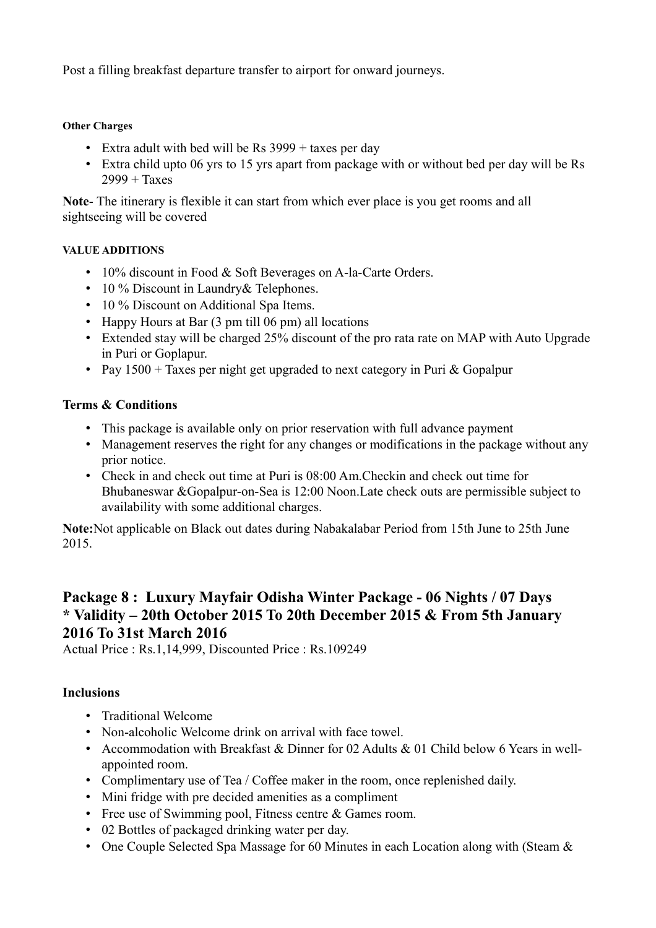Post a filling breakfast departure transfer to airport for onward journeys.

#### **Other Charges**

- Extra adult with bed will be Rs  $3999 +$  taxes per day
- Extra child upto 06 yrs to 15 yrs apart from package with or without bed per day will be Rs  $2999 + Taxes$

**Note**- The itinerary is flexible it can start from which ever place is you get rooms and all sightseeing will be covered

#### **VALUE ADDITIONS**

- 10% discount in Food & Soft Beverages on A-la-Carte Orders.
- 10 % Discount in Laundry & Telephones.
- 10 % Discount on Additional Spa Items.
- Happy Hours at Bar (3 pm till 06 pm) all locations
- Extended stay will be charged 25% discount of the pro rata rate on MAP with Auto Upgrade in Puri or Goplapur.
- Pay  $1500 +$  Taxes per night get upgraded to next category in Puri & Gopalpur

# **Terms & Conditions**

- This package is available only on prior reservation with full advance payment
- Management reserves the right for any changes or modifications in the package without any prior notice.
- Check in and check out time at Puri is 08:00 Am.Checkin and check out time for Bhubaneswar &Gopalpur-on-Sea is 12:00 Noon.Late check outs are permissible subject to availability with some additional charges.

**Note:**Not applicable on Black out dates during Nabakalabar Period from 15th June to 25th June 2015.

# **Package 8 : Luxury Mayfair Odisha Winter Package - 06 Nights / 07 Days \* Validity – 20th October 2015 To 20th December 2015 & From 5th January 2016 To 31st March 2016**

Actual Price : Rs.1,14,999, Discounted Price : Rs.109249

## **Inclusions**

- Traditional Welcome
- Non-alcoholic Welcome drink on arrival with face towel.
- Accommodation with Breakfast & Dinner for 02 Adults & 01 Child below 6 Years in wellappointed room.
- Complimentary use of Tea / Coffee maker in the room, once replenished daily.
- Mini fridge with pre decided amenities as a compliment
- Free use of Swimming pool, Fitness centre & Games room.
- 02 Bottles of packaged drinking water per day.
- One Couple Selected Spa Massage for 60 Minutes in each Location along with (Steam &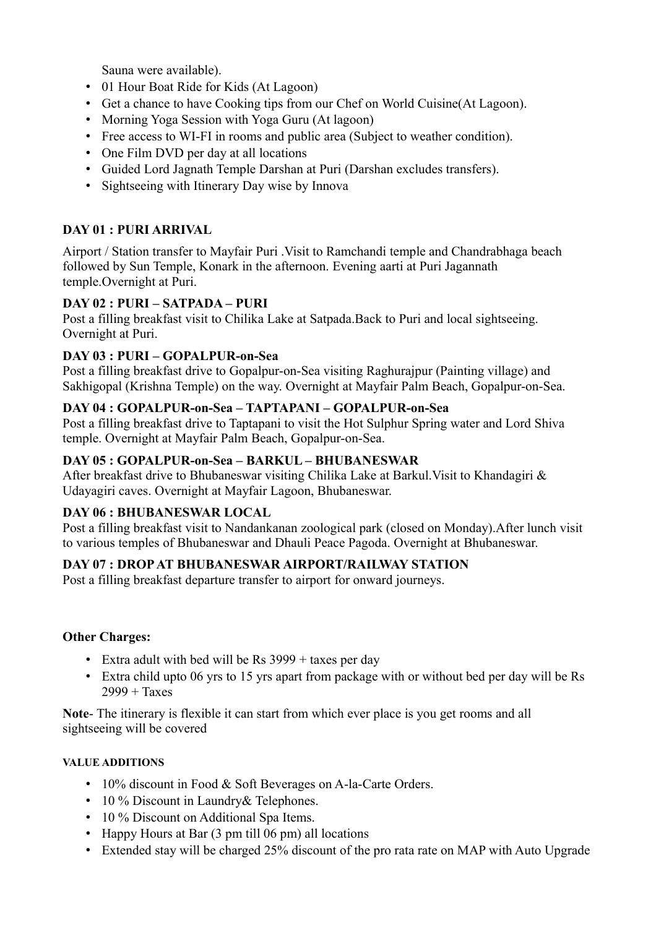Sauna were available).

- 01 Hour Boat Ride for Kids (At Lagoon)
- Get a chance to have Cooking tips from our Chef on World Cuisine(At Lagoon).
- Morning Yoga Session with Yoga Guru (At lagoon)
- Free access to WI-FI in rooms and public area (Subject to weather condition).
- One Film DVD per day at all locations
- Guided Lord Jagnath Temple Darshan at Puri (Darshan excludes transfers).
- Sightseeing with Itinerary Day wise by Innova

# **DAY 01 : PURI ARRIVAL**

Airport / Station transfer to Mayfair Puri .Visit to Ramchandi temple and Chandrabhaga beach followed by Sun Temple, Konark in the afternoon. Evening aarti at Puri Jagannath temple.Overnight at Puri.

## **DAY 02 : PURI – SATPADA – PURI**

Post a filling breakfast visit to Chilika Lake at Satpada.Back to Puri and local sightseeing. Overnight at Puri.

## **DAY 03 : PURI – GOPALPUR-on-Sea**

Post a filling breakfast drive to Gopalpur-on-Sea visiting Raghurajpur (Painting village) and Sakhigopal (Krishna Temple) on the way. Overnight at Mayfair Palm Beach, Gopalpur-on-Sea.

## **DAY 04 : GOPALPUR-on-Sea – TAPTAPANI – GOPALPUR-on-Sea**

Post a filling breakfast drive to Taptapani to visit the Hot Sulphur Spring water and Lord Shiva temple. Overnight at Mayfair Palm Beach, Gopalpur-on-Sea.

#### **DAY 05 : GOPALPUR-on-Sea – BARKUL – BHUBANESWAR**

After breakfast drive to Bhubaneswar visiting Chilika Lake at Barkul.Visit to Khandagiri & Udayagiri caves. Overnight at Mayfair Lagoon, Bhubaneswar.

## **DAY 06 : BHUBANESWAR LOCAL**

Post a filling breakfast visit to Nandankanan zoological park (closed on Monday).After lunch visit to various temples of Bhubaneswar and Dhauli Peace Pagoda. Overnight at Bhubaneswar.

## **DAY 07 : DROP AT BHUBANESWAR AIRPORT/RAILWAY STATION**

Post a filling breakfast departure transfer to airport for onward journeys.

#### **Other Charges:**

- Extra adult with bed will be Rs  $3999 + \text{taxes per day}$
- Extra child upto 06 yrs to 15 yrs apart from package with or without bed per day will be Rs  $2999 + Taxes$

**Note**- The itinerary is flexible it can start from which ever place is you get rooms and all sightseeing will be covered

#### **VALUE ADDITIONS**

- 10% discount in Food & Soft Beverages on A-la-Carte Orders.
- 10 % Discount in Laundry & Telephones.
- 10 % Discount on Additional Spa Items.
- Happy Hours at Bar (3 pm till 06 pm) all locations
- Extended stay will be charged 25% discount of the pro rata rate on MAP with Auto Upgrade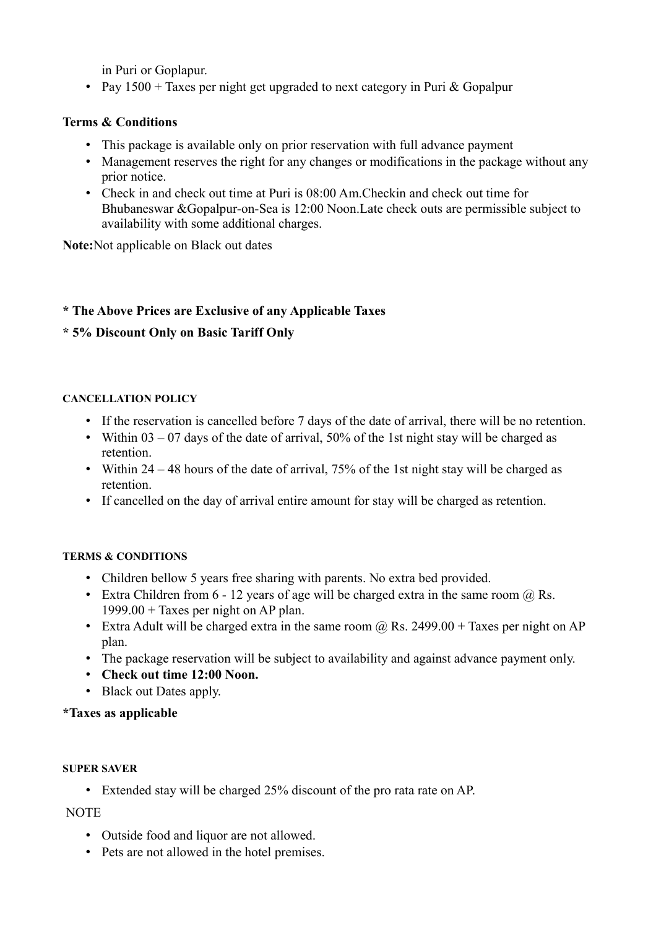in Puri or Goplapur.

• Pay  $1500 +$  Taxes per night get upgraded to next category in Puri & Gopalpur

# **Terms & Conditions**

- This package is available only on prior reservation with full advance payment
- Management reserves the right for any changes or modifications in the package without any prior notice.
- Check in and check out time at Puri is 08:00 Am. Checkin and check out time for Bhubaneswar &Gopalpur-on-Sea is 12:00 Noon.Late check outs are permissible subject to availability with some additional charges.

**Note:**Not applicable on Black out dates

# **\* The Above Prices are Exclusive of any Applicable Taxes**

# **\* 5% Discount Only on Basic Tariff Only**

## **CANCELLATION POLICY**

- If the reservation is cancelled before 7 days of the date of arrival, there will be no retention.
- Within 03 07 days of the date of arrival, 50% of the 1st night stay will be charged as retention.
- Within  $24 48$  hours of the date of arrival, 75% of the 1st night stay will be charged as retention.
- If cancelled on the day of arrival entire amount for stay will be charged as retention.

# **TERMS & CONDITIONS**

- Children bellow 5 years free sharing with parents. No extra bed provided.
- Extra Children from  $6 12$  years of age will be charged extra in the same room  $\omega$  Rs.  $1999.00 +$  Taxes per night on AP plan.
- Extra Adult will be charged extra in the same room  $\omega$  Rs. 2499.00 + Taxes per night on AP plan.
- The package reservation will be subject to availability and against advance payment only.
- **Check out time 12:00 Noon.**
- Black out Dates apply.

# **\*Taxes as applicable**

## **SUPER SAVER**

• Extended stay will be charged 25% discount of the pro rata rate on AP.

## NOTE

- Outside food and liquor are not allowed.
- Pets are not allowed in the hotel premises.